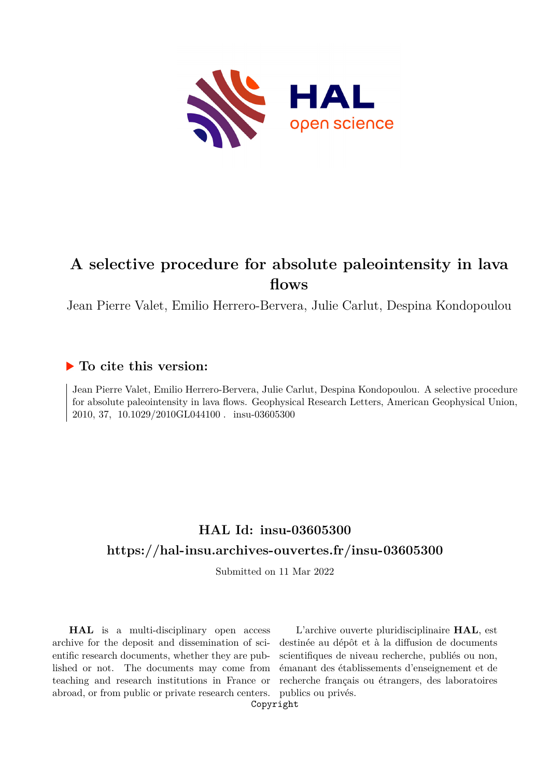

# **A selective procedure for absolute paleointensity in lava flows**

Jean Pierre Valet, Emilio Herrero-Bervera, Julie Carlut, Despina Kondopoulou

### **To cite this version:**

Jean Pierre Valet, Emilio Herrero-Bervera, Julie Carlut, Despina Kondopoulou. A selective procedure for absolute paleointensity in lava flows. Geophysical Research Letters, American Geophysical Union, 2010, 37, 10.1029/2010GL044100. insu-03605300

## **HAL Id: insu-03605300 <https://hal-insu.archives-ouvertes.fr/insu-03605300>**

Submitted on 11 Mar 2022

**HAL** is a multi-disciplinary open access archive for the deposit and dissemination of scientific research documents, whether they are published or not. The documents may come from teaching and research institutions in France or abroad, or from public or private research centers.

L'archive ouverte pluridisciplinaire **HAL**, est destinée au dépôt et à la diffusion de documents scientifiques de niveau recherche, publiés ou non, émanant des établissements d'enseignement et de recherche français ou étrangers, des laboratoires publics ou privés.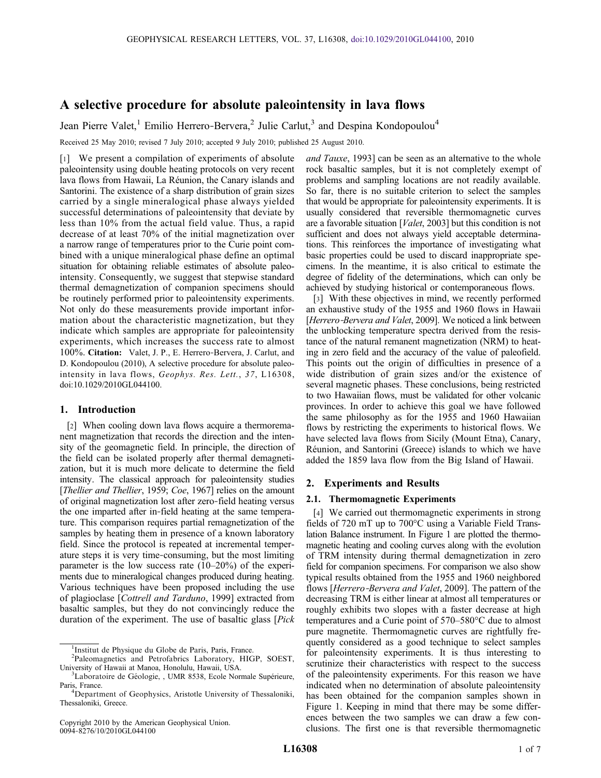### A selective procedure for absolute paleointensity in lava flows

Jean Pierre Valet,<sup>1</sup> Emilio Herrero-Bervera,<sup>2</sup> Julie Carlut,<sup>3</sup> and Despina Kondopoulou<sup>4</sup>

Received 25 May 2010; revised 7 July 2010; accepted 9 July 2010; published 25 August 2010.

[1] We present a compilation of experiments of absolute paleointensity using double heating protocols on very recent lava flows from Hawaii, La Réunion, the Canary islands and Santorini. The existence of a sharp distribution of grain sizes carried by a single mineralogical phase always yielded successful determinations of paleointensity that deviate by less than 10% from the actual field value. Thus, a rapid decrease of at least 70% of the initial magnetization over a narrow range of temperatures prior to the Curie point combined with a unique mineralogical phase define an optimal situation for obtaining reliable estimates of absolute paleointensity. Consequently, we suggest that stepwise standard thermal demagnetization of companion specimens should be routinely performed prior to paleointensity experiments. Not only do these measurements provide important information about the characteristic magnetization, but they indicate which samples are appropriate for paleointensity experiments, which increases the success rate to almost 100%. Citation: Valet, J. P., E. Herrero‐Bervera, J. Carlut, and D. Kondopoulou (2010), A selective procedure for absolute paleointensity in lava flows, Geophys. Res. Lett., 37, L16308, doi:10.1029/2010GL044100.

#### 1. Introduction

[2] When cooling down lava flows acquire a thermoremanent magnetization that records the direction and the intensity of the geomagnetic field. In principle, the direction of the field can be isolated properly after thermal demagnetization, but it is much more delicate to determine the field intensity. The classical approach for paleointensity studies [Thellier and Thellier, 1959; Coe, 1967] relies on the amount of original magnetization lost after zero‐field heating versus the one imparted after in‐field heating at the same temperature. This comparison requires partial remagnetization of the samples by heating them in presence of a known laboratory field. Since the protocol is repeated at incremental temperature steps it is very time‐consuming, but the most limiting parameter is the low success rate (10–20%) of the experiments due to mineralogical changes produced during heating. Various techniques have been proposed including the use of plagioclase [Cottrell and Tarduno, 1999] extracted from basaltic samples, but they do not convincingly reduce the duration of the experiment. The use of basaltic glass [*Pick*]

and Tauxe, 1993] can be seen as an alternative to the whole rock basaltic samples, but it is not completely exempt of problems and sampling locations are not readily available. So far, there is no suitable criterion to select the samples that would be appropriate for paleointensity experiments. It is usually considered that reversible thermomagnetic curves are a favorable situation [Valet, 2003] but this condition is not sufficient and does not always yield acceptable determinations. This reinforces the importance of investigating what basic properties could be used to discard inappropriate specimens. In the meantime, it is also critical to estimate the degree of fidelity of the determinations, which can only be achieved by studying historical or contemporaneous flows.

[3] With these objectives in mind, we recently performed an exhaustive study of the 1955 and 1960 flows in Hawaii [Herrero-Bervera and Valet, 2009]. We noticed a link between the unblocking temperature spectra derived from the resistance of the natural remanent magnetization (NRM) to heating in zero field and the accuracy of the value of paleofield. This points out the origin of difficulties in presence of a wide distribution of grain sizes and/or the existence of several magnetic phases. These conclusions, being restricted to two Hawaiian flows, must be validated for other volcanic provinces. In order to achieve this goal we have followed the same philosophy as for the 1955 and 1960 Hawaiian flows by restricting the experiments to historical flows. We have selected lava flows from Sicily (Mount Etna), Canary, Réunion, and Santorini (Greece) islands to which we have added the 1859 lava flow from the Big Island of Hawaii.

#### 2. Experiments and Results

#### 2.1. Thermomagnetic Experiments

[4] We carried out thermomagnetic experiments in strong fields of 720 mT up to 700°C using a Variable Field Translation Balance instrument. In Figure 1 are plotted the thermomagnetic heating and cooling curves along with the evolution of TRM intensity during thermal demagnetization in zero field for companion specimens. For comparison we also show typical results obtained from the 1955 and 1960 neighbored flows [Herrero-Bervera and Valet, 2009]. The pattern of the decreasing TRM is either linear at almost all temperatures or roughly exhibits two slopes with a faster decrease at high temperatures and a Curie point of 570–580°C due to almost pure magnetite. Thermomagnetic curves are rightfully frequently considered as a good technique to select samples for paleointensity experiments. It is thus interesting to scrutinize their characteristics with respect to the success of the paleointensity experiments. For this reason we have indicated when no determination of absolute paleointensity has been obtained for the companion samples shown in Figure 1. Keeping in mind that there may be some differences between the two samples we can draw a few conclusions. The first one is that reversible thermomagnetic

<sup>&</sup>lt;sup>1</sup>Institut de Physique du Globe de Paris, Paris, France.<br><sup>2</sup>Paleomagnetics, and Petrofabrics, Laboratory, HIG

<sup>&</sup>lt;sup>2</sup>Paleomagnetics and Petrofabrics Laboratory, HIGP, SOEST, University of Hawaii at Manoa, Honolulu, Hawaii, USA. <sup>3</sup>

<sup>&</sup>lt;sup>3</sup>Laboratoire de Géologie, , UMR 8538, Ecole Normale Supérieure, Paris, France.

<sup>&</sup>lt;sup>4</sup>Department of Geophysics, Aristotle University of Thessaloniki, Thessaloniki, Greece.

Copyright 2010 by the American Geophysical Union. 0094‐8276/10/2010GL044100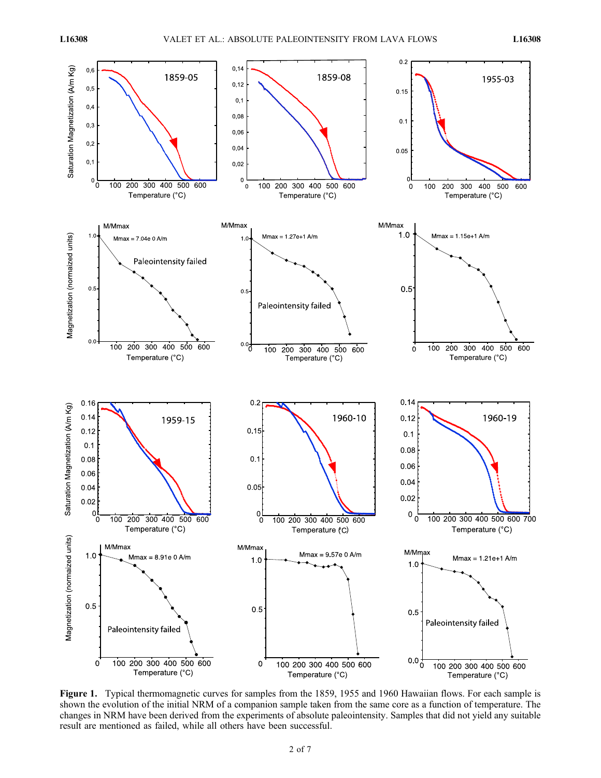

Figure 1. Typical thermomagnetic curves for samples from the 1859, 1955 and 1960 Hawaiian flows. For each sample is shown the evolution of the initial NRM of a companion sample taken from the same core as a function of temperature. The changes in NRM have been derived from the experiments of absolute paleointensity. Samples that did not yield any suitable result are mentioned as failed, while all others have been successful.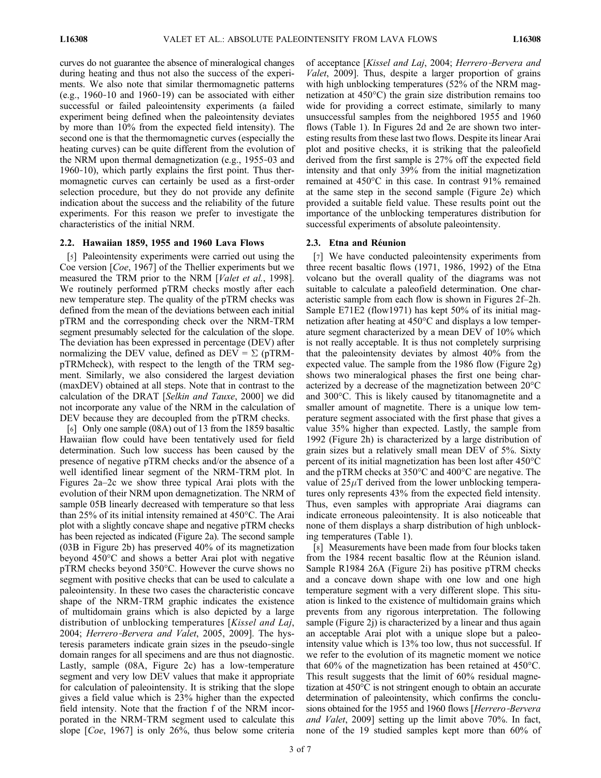curves do not guarantee the absence of mineralogical changes during heating and thus not also the success of the experiments. We also note that similar thermomagnetic patterns (e.g., 1960‐10 and 1960‐19) can be associated with either successful or failed paleointensity experiments (a failed experiment being defined when the paleointensity deviates by more than 10% from the expected field intensity). The second one is that the thermomagnetic curves (especially the heating curves) can be quite different from the evolution of the NRM upon thermal demagnetization (e.g., 1955‐03 and 1960–10), which partly explains the first point. Thus thermomagnetic curves can certainly be used as a first-order selection procedure, but they do not provide any definite indication about the success and the reliability of the future experiments. For this reason we prefer to investigate the characteristics of the initial NRM.

#### 2.2. Hawaiian 1859, 1955 and 1960 Lava Flows

[5] Paleointensity experiments were carried out using the Coe version [Coe, 1967] of the Thellier experiments but we measured the TRM prior to the NRM [Valet et al., 1998]. We routinely performed pTRM checks mostly after each new temperature step. The quality of the pTRM checks was defined from the mean of the deviations between each initial pTRM and the corresponding check over the NRM‐TRM segment presumably selected for the calculation of the slope. The deviation has been expressed in percentage (DEV) after normalizing the DEV value, defined as DEV =  $\Sigma$  (pTRMpTRMcheck), with respect to the length of the TRM segment. Similarly, we also considered the largest deviation (maxDEV) obtained at all steps. Note that in contrast to the calculation of the DRAT [Selkin and Tauxe, 2000] we did not incorporate any value of the NRM in the calculation of DEV because they are decoupled from the pTRM checks.

[6] Only one sample (08A) out of 13 from the 1859 basaltic Hawaiian flow could have been tentatively used for field determination. Such low success has been caused by the presence of negative pTRM checks and/or the absence of a well identified linear segment of the NRM‐TRM plot. In Figures 2a–2c we show three typical Arai plots with the evolution of their NRM upon demagnetization. The NRM of sample 05B linearly decreased with temperature so that less than 25% of its initial intensity remained at 450°C. The Arai plot with a slightly concave shape and negative pTRM checks has been rejected as indicated (Figure 2a). The second sample (03B in Figure 2b) has preserved 40% of its magnetization beyond 450°C and shows a better Arai plot with negative pTRM checks beyond 350°C. However the curve shows no segment with positive checks that can be used to calculate a paleointensity. In these two cases the characteristic concave shape of the NRM‐TRM graphic indicates the existence of multidomain grains which is also depicted by a large distribution of unblocking temperatures [Kissel and Laj, 2004; Herrero-Bervera and Valet, 2005, 2009]. The hysteresis parameters indicate grain sizes in the pseudo‐single domain ranges for all specimens and are thus not diagnostic. Lastly, sample (08A, Figure 2c) has a low‐temperature segment and very low DEV values that make it appropriate for calculation of paleointensity. It is striking that the slope gives a field value which is 23% higher than the expected field intensity. Note that the fraction f of the NRM incorporated in the NRM‐TRM segment used to calculate this slope [Coe, 1967] is only 26%, thus below some criteria

of acceptance [Kissel and Laj, 2004; Herrero‐Bervera and Valet, 2009]. Thus, despite a larger proportion of grains with high unblocking temperatures (52% of the NRM magnetization at 450°C) the grain size distribution remains too wide for providing a correct estimate, similarly to many unsuccessful samples from the neighbored 1955 and 1960 flows (Table 1). In Figures 2d and 2e are shown two interesting results from these last two flows. Despite its linear Arai plot and positive checks, it is striking that the paleofield derived from the first sample is 27% off the expected field intensity and that only 39% from the initial magnetization remained at 450°C in this case. In contrast 91% remained at the same step in the second sample (Figure 2e) which provided a suitable field value. These results point out the importance of the unblocking temperatures distribution for successful experiments of absolute paleointensity.

#### 2.3. Etna and Réunion

[7] We have conducted paleointensity experiments from three recent basaltic flows (1971, 1986, 1992) of the Etna volcano but the overall quality of the diagrams was not suitable to calculate a paleofield determination. One characteristic sample from each flow is shown in Figures 2f–2h. Sample E71E2 (flow1971) has kept 50% of its initial magnetization after heating at 450°C and displays a low temperature segment characterized by a mean DEV of 10% which is not really acceptable. It is thus not completely surprising that the paleointensity deviates by almost 40% from the expected value. The sample from the 1986 flow (Figure 2g) shows two mineralogical phases the first one being characterized by a decrease of the magnetization between 20°C and 300°C. This is likely caused by titanomagnetite and a smaller amount of magnetite. There is a unique low temperature segment associated with the first phase that gives a value 35% higher than expected. Lastly, the sample from 1992 (Figure 2h) is characterized by a large distribution of grain sizes but a relatively small mean DEV of 5%. Sixty percent of its initial magnetization has been lost after 450°C and the pTRM checks at 350°C and 400°C are negative. The value of  $25\mu$ T derived from the lower unblocking temperatures only represents 43% from the expected field intensity. Thus, even samples with appropriate Arai diagrams can indicate erroneous paleointensity. It is also noticeable that none of them displays a sharp distribution of high unblocking temperatures (Table 1).

[8] Measurements have been made from four blocks taken from the 1984 recent basaltic flow at the Réunion island. Sample R1984 26A (Figure 2i) has positive pTRM checks and a concave down shape with one low and one high temperature segment with a very different slope. This situation is linked to the existence of multidomain grains which prevents from any rigorous interpretation. The following sample (Figure 2j) is characterized by a linear and thus again an acceptable Arai plot with a unique slope but a paleointensity value which is 13% too low, thus not successful. If we refer to the evolution of its magnetic moment we notice that 60% of the magnetization has been retained at 450°C. This result suggests that the limit of 60% residual magnetization at 450°C is not stringent enough to obtain an accurate determination of paleointensity, which confirms the conclusions obtained for the 1955 and 1960 flows [Herrero-Bervera] and Valet, 2009] setting up the limit above 70%. In fact, none of the 19 studied samples kept more than 60% of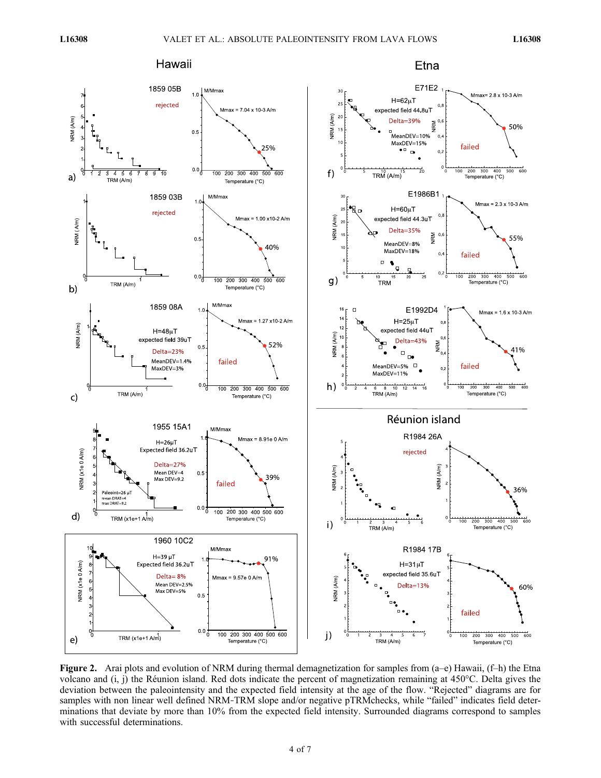

Figure 2. Arai plots and evolution of NRM during thermal demagnetization for samples from (a–e) Hawaii, (f–h) the Etna volcano and (i, j) the Réunion island. Red dots indicate the percent of magnetization remaining at 450°C. Delta gives the deviation between the paleointensity and the expected field intensity at the age of the flow. "Rejected" diagrams are for samples with non linear well defined NRM-TRM slope and/or negative pTRMchecks, while "failed" indicates field determinations that deviate by more than 10% from the expected field intensity. Surrounded diagrams correspond to samples with successful determinations.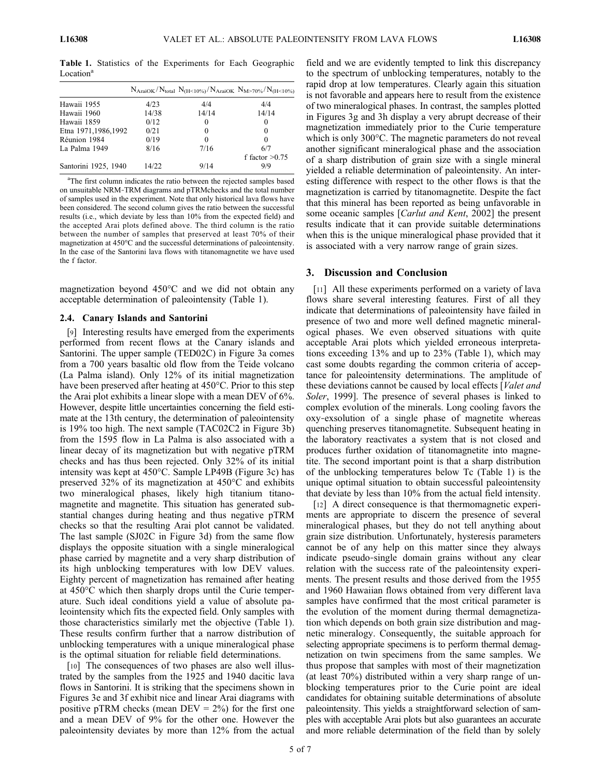Table 1. Statistics of the Experiments for Each Geographic Location<sup>a</sup>

|                       |       |          | $N_{\text{AraiOK}}/N_{\text{total}} N_{\text{(H} < 10\%)}/N_{\text{AraiOK}} N_{\text{M} > 70\%}/N_{\text{(H} < 10\%)}$ |
|-----------------------|-------|----------|------------------------------------------------------------------------------------------------------------------------|
| Hawaii 1955           | 4/23  | 4/4      | 4/4                                                                                                                    |
| Hawaii 1960           | 14/38 | 14/14    | 14/14                                                                                                                  |
| Hawaii 1859           | 0/12  | $\Omega$ | 0                                                                                                                      |
| Etna 1971, 1986, 1992 | 0/21  | $\Omega$ | 0                                                                                                                      |
| Réunion 1984          | 0/19  | $\Omega$ | 0                                                                                                                      |
| La Palma 1949         | 8/16  | 7/16     | 6/7                                                                                                                    |
|                       |       |          | f factor $>0.75$                                                                                                       |
| Santorini 1925, 1940  | 14/22 | 9/14     | 9/9                                                                                                                    |

<sup>a</sup>The first column indicates the ratio between the rejected samples based on unsuitable NRM‐TRM diagrams and pTRMchecks and the total number of samples used in the experiment. Note that only historical lava flows have been considered. The second column gives the ratio between the successful results (i.e., which deviate by less than 10% from the expected field) and the accepted Arai plots defined above. The third column is the ratio between the number of samples that preserved at least 70% of their magnetization at 450°C and the successful determinations of paleointensity. In the case of the Santorini lava flows with titanomagnetite we have used the f factor.

magnetization beyond 450°C and we did not obtain any acceptable determination of paleointensity (Table 1).

#### 2.4. Canary Islands and Santorini

[9] Interesting results have emerged from the experiments performed from recent flows at the Canary islands and Santorini. The upper sample (TED02C) in Figure 3a comes from a 700 years basaltic old flow from the Teide volcano (La Palma island). Only 12% of its initial magnetization have been preserved after heating at 450°C. Prior to this step the Arai plot exhibits a linear slope with a mean DEV of 6%. However, despite little uncertainties concerning the field estimate at the 13th century, the determination of paleointensity is 19% too high. The next sample (TAC02C2 in Figure 3b) from the 1595 flow in La Palma is also associated with a linear decay of its magnetization but with negative pTRM checks and has thus been rejected. Only 32% of its initial intensity was kept at 450°C. Sample LP49B (Figure 3c) has preserved 32% of its magnetization at 450°C and exhibits two mineralogical phases, likely high titanium titanomagnetite and magnetite. This situation has generated substantial changes during heating and thus negative pTRM checks so that the resulting Arai plot cannot be validated. The last sample (SJ02C in Figure 3d) from the same flow displays the opposite situation with a single mineralogical phase carried by magnetite and a very sharp distribution of its high unblocking temperatures with low DEV values. Eighty percent of magnetization has remained after heating at 450°C which then sharply drops until the Curie temperature. Such ideal conditions yield a value of absolute paleointensity which fits the expected field. Only samples with those characteristics similarly met the objective (Table 1). These results confirm further that a narrow distribution of unblocking temperatures with a unique mineralogical phase is the optimal situation for reliable field determinations.

[10] The consequences of two phases are also well illustrated by the samples from the 1925 and 1940 dacitic lava flows in Santorini. It is striking that the specimens shown in Figures 3e and 3f exhibit nice and linear Arai diagrams with positive pTRM checks (mean  $DEV = 2\%$ ) for the first one and a mean DEV of 9% for the other one. However the paleointensity deviates by more than 12% from the actual

field and we are evidently tempted to link this discrepancy to the spectrum of unblocking temperatures, notably to the rapid drop at low temperatures. Clearly again this situation is not favorable and appears here to result from the existence of two mineralogical phases. In contrast, the samples plotted in Figures 3g and 3h display a very abrupt decrease of their magnetization immediately prior to the Curie temperature which is only 300°C. The magnetic parameters do not reveal another significant mineralogical phase and the association of a sharp distribution of grain size with a single mineral yielded a reliable determination of paleointensity. An interesting difference with respect to the other flows is that the magnetization is carried by titanomagnetite. Despite the fact that this mineral has been reported as being unfavorable in some oceanic samples [*Carlut and Kent*, 2002] the present results indicate that it can provide suitable determinations when this is the unique mineralogical phase provided that it is associated with a very narrow range of grain sizes.

#### 3. Discussion and Conclusion

[11] All these experiments performed on a variety of lava flows share several interesting features. First of all they indicate that determinations of paleointensity have failed in presence of two and more well defined magnetic mineralogical phases. We even observed situations with quite acceptable Arai plots which yielded erroneous interpretations exceeding 13% and up to 23% (Table 1), which may cast some doubts regarding the common criteria of acceptance for paleointensity determinations. The amplitude of these deviations cannot be caused by local effects [*Valet and* Soler, 1999]. The presence of several phases is linked to complex evolution of the minerals. Long cooling favors the oxy‐exsolution of a single phase of magnetite whereas quenching preserves titanomagnetite. Subsequent heating in the laboratory reactivates a system that is not closed and produces further oxidation of titanomagnetite into magnetite. The second important point is that a sharp distribution of the unblocking temperatures below Tc (Table 1) is the unique optimal situation to obtain successful paleointensity that deviate by less than 10% from the actual field intensity.

[12] A direct consequence is that thermomagnetic experiments are appropriate to discern the presence of several mineralogical phases, but they do not tell anything about grain size distribution. Unfortunately, hysteresis parameters cannot be of any help on this matter since they always indicate pseudo‐single domain grains without any clear relation with the success rate of the paleointensity experiments. The present results and those derived from the 1955 and 1960 Hawaiian flows obtained from very different lava samples have confirmed that the most critical parameter is the evolution of the moment during thermal demagnetization which depends on both grain size distribution and magnetic mineralogy. Consequently, the suitable approach for selecting appropriate specimens is to perform thermal demagnetization on twin specimens from the same samples. We thus propose that samples with most of their magnetization (at least 70%) distributed within a very sharp range of unblocking temperatures prior to the Curie point are ideal candidates for obtaining suitable determinations of absolute paleointensity. This yields a straightforward selection of samples with acceptable Arai plots but also guarantees an accurate and more reliable determination of the field than by solely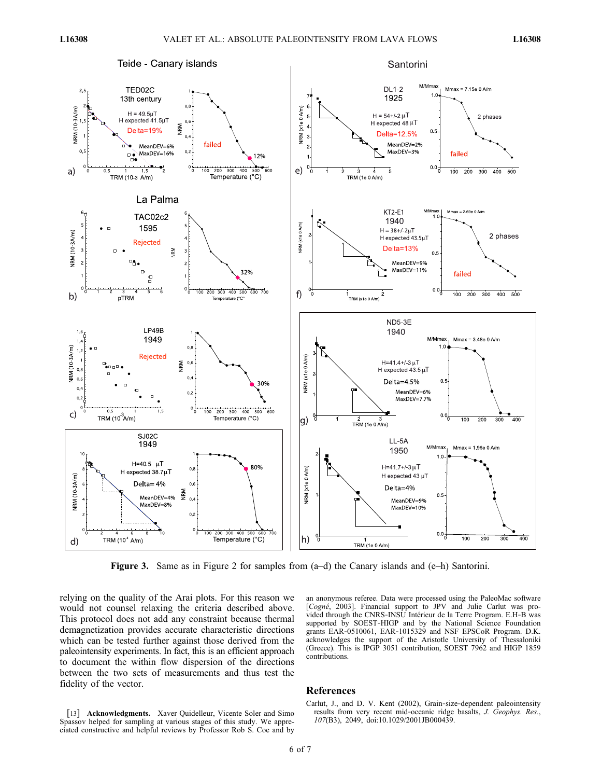

Figure 3. Same as in Figure 2 for samples from (a–d) the Canary islands and (e–h) Santorini.

relying on the quality of the Arai plots. For this reason we would not counsel relaxing the criteria described above. This protocol does not add any constraint because thermal demagnetization provides accurate characteristic directions which can be tested further against those derived from the paleointensity experiments. In fact, this is an efficient approach to document the within flow dispersion of the directions between the two sets of measurements and thus test the fidelity of the vector.

an anonymous referee. Data were processed using the PaleoMac software [Cogné, 2003]. Financial support to JPV and Julie Carlut was provided through the CNRS-INSU Intérieur de la Terre Program. E.H-B was supported by SOEST-HIGP and by the National Science Foundation grants EAR‐0510061, EAR‐1015329 and NSF EPSCoR Program. D.K. acknowledges the support of the Aristotle University of Thessaloniki (Greece). This is IPGP 3051 contribution, SOEST 7962 and HIGP 1859 contributions.

#### References

- [13] Acknowledgments. Xaver Quidelleur, Vicente Soler and Simo Spassov helped for sampling at various stages of this study. We appreciated constructive and helpful reviews by Professor Rob S. Coe and by
- Carlut, J., and D. V. Kent (2002), Grain‐size‐dependent paleointensity results from very recent mid‐oceanic ridge basalts, J. Geophys. Res., 107(B3), 2049, doi:10.1029/2001JB000439.